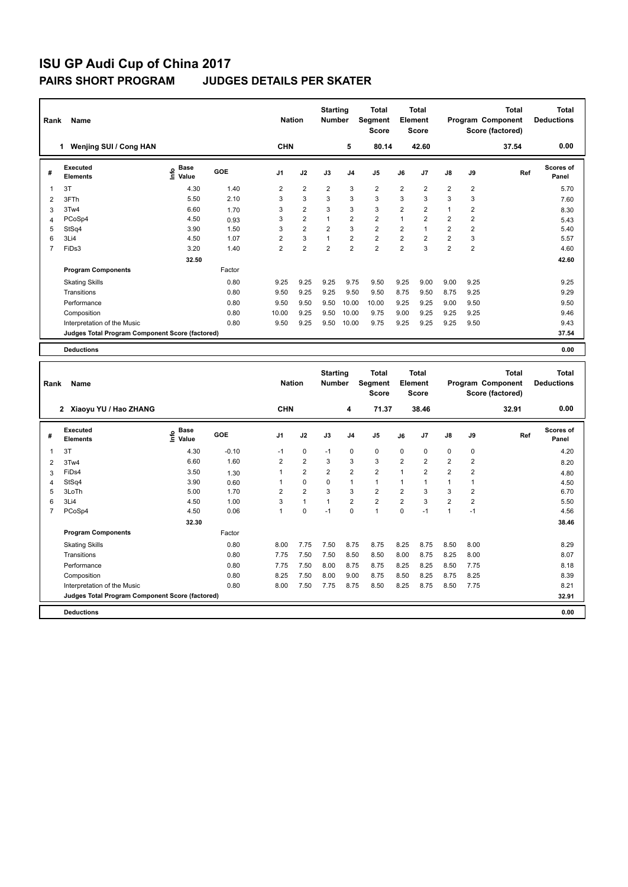| Rank                    | Name                                            |                              | <b>Nation</b> |                | <b>Starting</b><br><b>Number</b> | Total<br>Segment<br><b>Score</b> | <b>Total</b><br>Element<br><b>Score</b> |                |                |                | <b>Total</b><br>Program Component<br>Score (factored) | <b>Total</b><br><b>Deductions</b> |       |                           |
|-------------------------|-------------------------------------------------|------------------------------|---------------|----------------|----------------------------------|----------------------------------|-----------------------------------------|----------------|----------------|----------------|-------------------------------------------------------|-----------------------------------|-------|---------------------------|
|                         | Wenjing SUI / Cong HAN<br>1                     |                              |               | <b>CHN</b>     |                                  |                                  | 5                                       | 80.14          |                | 42.60          |                                                       |                                   | 37.54 | 0.00                      |
| #                       | Executed<br><b>Elements</b>                     | <b>Base</b><br>lnfo<br>Value | GOE           | J <sub>1</sub> | J2                               | J3                               | J <sub>4</sub>                          | J <sub>5</sub> | J6             | J7             | $\mathsf{J}8$                                         | J9                                | Ref   | <b>Scores of</b><br>Panel |
| $\overline{\mathbf{1}}$ | 3T                                              | 4.30                         | 1.40          | 2              | $\overline{2}$                   | $\overline{2}$                   | 3                                       | $\overline{2}$ | $\overline{2}$ | $\overline{2}$ | $\overline{2}$                                        | $\overline{2}$                    |       | 5.70                      |
| $\overline{2}$          | 3FTh                                            | 5.50                         | 2.10          | 3              | 3                                | 3                                | 3                                       | 3              | 3              | 3              | 3                                                     | 3                                 |       | 7.60                      |
| 3                       | 3Tw4                                            | 6.60                         | 1.70          | 3              | $\overline{2}$                   | 3                                | 3                                       | 3              | $\overline{2}$ | 2              | $\mathbf{1}$                                          | 2                                 |       | 8.30                      |
| 4                       | PCoSp4                                          | 4.50                         | 0.93          | 3              | $\overline{2}$                   | 1                                | $\overline{2}$                          | $\overline{2}$ | $\mathbf{1}$   | $\overline{2}$ | $\overline{2}$                                        | 2                                 |       | 5.43                      |
| 5                       | StSq4                                           | 3.90                         | 1.50          | 3              | $\overline{2}$                   | $\overline{2}$                   | 3                                       | $\overline{2}$ | $\overline{2}$ |                | $\overline{2}$                                        | $\overline{2}$                    |       | 5.40                      |
| 6                       | 3Li4                                            | 4.50                         | 1.07          | $\overline{2}$ | 3                                | $\overline{1}$                   | 2                                       | $\overline{2}$ | $\overline{2}$ | $\overline{2}$ | $\overline{2}$                                        | 3                                 |       | 5.57                      |
| $\overline{7}$          | FiDs3                                           | 3.20                         | 1.40          | $\overline{2}$ | $\overline{2}$                   | $\overline{2}$                   | $\overline{2}$                          | $\overline{2}$ | $\overline{2}$ | 3              | $\overline{2}$                                        | 2                                 |       | 4.60                      |
|                         |                                                 | 32.50                        |               |                |                                  |                                  |                                         |                |                |                |                                                       |                                   |       | 42.60                     |
|                         | <b>Program Components</b>                       |                              | Factor        |                |                                  |                                  |                                         |                |                |                |                                                       |                                   |       |                           |
|                         | <b>Skating Skills</b>                           |                              | 0.80          | 9.25           | 9.25                             | 9.25                             | 9.75                                    | 9.50           | 9.25           | 9.00           | 9.00                                                  | 9.25                              |       | 9.25                      |
|                         | Transitions                                     |                              | 0.80          | 9.50           | 9.25                             | 9.25                             | 9.50                                    | 9.50           | 8.75           | 9.50           | 8.75                                                  | 9.25                              |       | 9.29                      |
|                         | Performance                                     |                              | 0.80          | 9.50           | 9.50                             | 9.50                             | 10.00                                   | 10.00          | 9.25           | 9.25           | 9.00                                                  | 9.50                              |       | 9.50                      |
|                         | Composition                                     |                              | 0.80          | 10.00          | 9.25                             | 9.50                             | 10.00                                   | 9.75           | 9.00           | 9.25           | 9.25                                                  | 9.25                              |       | 9.46                      |
|                         | Interpretation of the Music                     |                              | 0.80          | 9.50           | 9.25                             | 9.50                             | 10.00                                   | 9.75           | 9.25           | 9.25           | 9.25                                                  | 9.50                              |       | 9.43                      |
|                         | Judges Total Program Component Score (factored) |                              |               |                |                                  |                                  |                                         |                |                |                |                                                       |                                   |       | 37.54                     |
|                         | <b>Deductions</b>                               |                              |               |                |                                  |                                  |                                         |                |                |                |                                                       |                                   |       | 0.00                      |

| Rank           | Name                                            |                                             | <b>Nation</b> |                | <b>Starting</b><br><b>Number</b> | <b>Total</b><br><b>Segment</b><br><b>Score</b> | <b>Total</b><br>Element<br><b>Score</b> |                | Program Component |                | <b>Total</b><br>Score (factored) | Total<br><b>Deductions</b> |       |                           |
|----------------|-------------------------------------------------|---------------------------------------------|---------------|----------------|----------------------------------|------------------------------------------------|-----------------------------------------|----------------|-------------------|----------------|----------------------------------|----------------------------|-------|---------------------------|
|                | 2 Xiaoyu YU / Hao ZHANG                         |                                             |               | <b>CHN</b>     |                                  |                                                | 4                                       | 71.37          |                   | 38.46          |                                  |                            | 32.91 | 0.00                      |
| #              | <b>Executed</b><br><b>Elements</b>              | <b>Base</b><br>e <sup>Base</sup><br>⊆ Value | GOE           | J <sub>1</sub> | J2                               | J3                                             | J <sub>4</sub>                          | J <sub>5</sub> | J6                | J <sub>7</sub> | J8                               | J9                         | Ref   | <b>Scores of</b><br>Panel |
| 1              | 3T                                              | 4.30                                        | $-0.10$       | $-1$           | 0                                | $-1$                                           | 0                                       | $\mathbf 0$    | $\mathbf 0$       | 0              | $\mathbf 0$                      | $\mathbf 0$                |       | 4.20                      |
| $\overline{2}$ | 3Tw4                                            | 6.60                                        | 1.60          | $\overline{2}$ | $\overline{2}$                   | 3                                              | 3                                       | 3              | $\overline{2}$    | $\overline{2}$ | $\overline{2}$                   | 2                          |       | 8.20                      |
| 3              | FiD <sub>s4</sub>                               | 3.50                                        | 1.30          |                | $\overline{2}$                   | $\overline{2}$                                 | $\overline{2}$                          | $\overline{2}$ | $\overline{1}$    | $\overline{2}$ | $\overline{2}$                   | $\overline{2}$             |       | 4.80                      |
| 4              | StSq4                                           | 3.90                                        | 0.60          |                | 0                                | 0                                              | 1                                       | $\mathbf{1}$   | $\overline{1}$    |                | $\mathbf{1}$                     |                            |       | 4.50                      |
| 5              | 3LoTh                                           | 5.00                                        | 1.70          | $\overline{2}$ | $\overline{2}$                   | 3                                              | 3                                       | $\overline{2}$ | $\overline{2}$    | 3              | 3                                | 2                          |       | 6.70                      |
| 6              | 3Li4                                            | 4.50                                        | 1.00          | 3              | $\mathbf{1}$                     | $\mathbf{1}$                                   | $\overline{2}$                          | $\overline{2}$ | $\overline{2}$    | 3              | $\overline{2}$                   | $\overline{2}$             |       | 5.50                      |
| $\overline{7}$ | PCoSp4                                          | 4.50                                        | 0.06          | 1              | 0                                | $-1$                                           | $\Omega$                                | $\overline{1}$ | $\mathbf 0$       | $-1$           | $\overline{1}$                   | $-1$                       |       | 4.56                      |
|                |                                                 | 32.30                                       |               |                |                                  |                                                |                                         |                |                   |                |                                  |                            |       | 38.46                     |
|                | <b>Program Components</b>                       |                                             | Factor        |                |                                  |                                                |                                         |                |                   |                |                                  |                            |       |                           |
|                | <b>Skating Skills</b>                           |                                             | 0.80          | 8.00           | 7.75                             | 7.50                                           | 8.75                                    | 8.75           | 8.25              | 8.75           | 8.50                             | 8.00                       |       | 8.29                      |
|                | Transitions                                     |                                             | 0.80          | 7.75           | 7.50                             | 7.50                                           | 8.50                                    | 8.50           | 8.00              | 8.75           | 8.25                             | 8.00                       |       | 8.07                      |
|                | Performance                                     |                                             | 0.80          | 7.75           | 7.50                             | 8.00                                           | 8.75                                    | 8.75           | 8.25              | 8.25           | 8.50                             | 7.75                       |       | 8.18                      |
|                | Composition                                     |                                             | 0.80          | 8.25           | 7.50                             | 8.00                                           | 9.00                                    | 8.75           | 8.50              | 8.25           | 8.75                             | 8.25                       |       | 8.39                      |
|                | Interpretation of the Music                     |                                             | 0.80          | 8.00           | 7.50                             | 7.75                                           | 8.75                                    | 8.50           | 8.25              | 8.75           | 8.50                             | 7.75                       |       | 8.21                      |
|                | Judges Total Program Component Score (factored) |                                             |               |                |                                  |                                                |                                         |                |                   |                |                                  |                            |       | 32.91                     |
|                | <b>Deductions</b>                               |                                             |               |                |                                  |                                                |                                         |                |                   |                |                                  |                            |       | 0.00                      |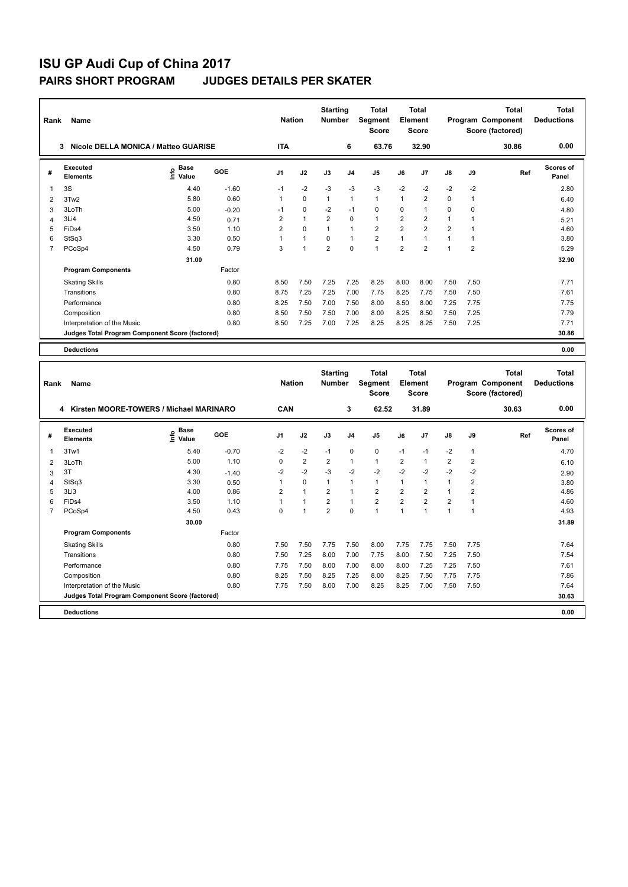| Rank           | <b>Name</b>                                     |                              | <b>Nation</b> |                | <b>Starting</b><br><b>Number</b> | Total<br>Segment<br><b>Score</b> | <b>Total</b><br>Element<br><b>Score</b> |                      |                |                | <b>Total</b><br>Program Component<br>Score (factored) | <b>Total</b><br><b>Deductions</b> |       |                           |
|----------------|-------------------------------------------------|------------------------------|---------------|----------------|----------------------------------|----------------------------------|-----------------------------------------|----------------------|----------------|----------------|-------------------------------------------------------|-----------------------------------|-------|---------------------------|
|                | Nicole DELLA MONICA / Matteo GUARISE<br>3       |                              |               | <b>ITA</b>     |                                  |                                  | 6                                       | 63.76                |                | 32.90          |                                                       |                                   | 30.86 | 0.00                      |
| #              | Executed<br><b>Elements</b>                     | <b>Base</b><br>lnfo<br>Value | GOE           | J <sub>1</sub> | J2                               | J3                               | J <sub>4</sub>                          | J <sub>5</sub>       | J6             | J <sub>7</sub> | $\mathsf{J}8$                                         | J9                                | Ref   | <b>Scores of</b><br>Panel |
| $\overline{1}$ | 3S                                              | 4.40                         | $-1.60$       | $-1$           | $-2$                             | $-3$                             | $-3$                                    | $-3$                 | $-2$           | $-2$           | $-2$                                                  | $-2$                              |       | 2.80                      |
| 2              | 3Tw2                                            | 5.80                         | 0.60          | 1              | $\Omega$                         | $\mathbf{1}$                     | $\mathbf 1$                             | $\mathbf{1}$         | 1              | $\overline{2}$ | 0                                                     | 1                                 |       | 6.40                      |
| 3              | 3LoTh                                           | 5.00                         | $-0.20$       | $-1$           | $\mathbf 0$                      | $-2$                             | $-1$                                    | 0                    | 0              | 1              | 0                                                     | 0                                 |       | 4.80                      |
| $\overline{4}$ | 3Li4                                            | 4.50                         | 0.71          | $\overline{2}$ | $\mathbf{1}$                     | $\overline{2}$                   | $\Omega$                                | $\mathbf{1}$         | $\overline{2}$ | $\overline{2}$ | 1                                                     |                                   |       | 5.21                      |
| 5              | FiDs4                                           | 3.50                         | 1.10          | $\overline{2}$ | $\Omega$                         | 1                                | $\overline{1}$                          | $\overline{2}$       | $\overline{2}$ | $\overline{2}$ | $\overline{2}$                                        |                                   |       | 4.60                      |
| 6              | StSq3                                           | 3.30                         | 0.50          |                | $\mathbf{1}$                     | 0                                | $\mathbf{1}$                            | $\overline{2}$       | 1              | 1              | 1                                                     | 1                                 |       | 3.80                      |
| $\overline{7}$ | PCoSp4                                          | 4.50                         | 0.79          | 3              | 1                                | $\overline{2}$                   | $\Omega$                                | $\blacktriangleleft$ | $\overline{2}$ | $\overline{2}$ | 1                                                     | $\overline{2}$                    |       | 5.29                      |
|                |                                                 | 31.00                        |               |                |                                  |                                  |                                         |                      |                |                |                                                       |                                   |       | 32.90                     |
|                | <b>Program Components</b>                       |                              | Factor        |                |                                  |                                  |                                         |                      |                |                |                                                       |                                   |       |                           |
|                | <b>Skating Skills</b>                           |                              | 0.80          | 8.50           | 7.50                             | 7.25                             | 7.25                                    | 8.25                 | 8.00           | 8.00           | 7.50                                                  | 7.50                              |       | 7.71                      |
|                | Transitions                                     |                              | 0.80          | 8.75           | 7.25                             | 7.25                             | 7.00                                    | 7.75                 | 8.25           | 7.75           | 7.50                                                  | 7.50                              |       | 7.61                      |
|                | Performance                                     |                              | 0.80          | 8.25           | 7.50                             | 7.00                             | 7.50                                    | 8.00                 | 8.50           | 8.00           | 7.25                                                  | 7.75                              |       | 7.75                      |
|                | Composition                                     |                              | 0.80          | 8.50           | 7.50                             | 7.50                             | 7.00                                    | 8.00                 | 8.25           | 8.50           | 7.50                                                  | 7.25                              |       | 7.79                      |
|                | Interpretation of the Music                     |                              | 0.80          | 8.50           | 7.25                             | 7.00                             | 7.25                                    | 8.25                 | 8.25           | 8.25           | 7.50                                                  | 7.25                              |       | 7.71                      |
|                | Judges Total Program Component Score (factored) |                              |               |                |                                  |                                  |                                         |                      |                |                |                                                       |                                   |       | 30.86                     |
|                | <b>Deductions</b>                               |                              |               |                |                                  |                                  |                                         |                      |                |                |                                                       |                                   |       | 0.00                      |

| Rank | Name                                            |                              |         | <b>Nation</b>  |                | <b>Starting</b><br><b>Number</b> |                | Total<br>Segment<br><b>Score</b> |                | Total<br>Element<br><b>Score</b> |                |                | Total<br>Program Component<br>Score (factored) | Total<br><b>Deductions</b> |
|------|-------------------------------------------------|------------------------------|---------|----------------|----------------|----------------------------------|----------------|----------------------------------|----------------|----------------------------------|----------------|----------------|------------------------------------------------|----------------------------|
|      | Kirsten MOORE-TOWERS / Michael MARINARO<br>4    |                              |         | CAN            |                |                                  | 3              | 62.52                            |                | 31.89                            |                |                | 30.63                                          | 0.00                       |
| #    | Executed<br><b>Elements</b>                     | <b>Base</b><br>١nf٥<br>Value | GOE     | J <sub>1</sub> | J2             | J3                               | J <sub>4</sub> | J <sub>5</sub>                   | J6             | J7                               | $\mathsf{J}8$  | J9             | Ref                                            | <b>Scores of</b><br>Panel  |
|      | 3Tw1                                            | 5.40                         | $-0.70$ | $-2$           | $-2$           | $-1$                             | 0              | $\pmb{0}$                        | $-1$           | $-1$                             | $-2$           | $\mathbf{1}$   |                                                | 4.70                       |
| 2    | 3LoTh                                           | 5.00                         | 1.10    | $\Omega$       | 2              | $\overline{2}$                   | $\mathbf{1}$   | $\mathbf{1}$                     | $\overline{2}$ | 1                                | $\overline{2}$ | $\overline{2}$ |                                                | 6.10                       |
| 3    | 3T                                              | 4.30                         | $-1.40$ | $-2$           | $-2$           | $-3$                             | $-2$           | $-2$                             | $-2$           | $-2$                             | $-2$           | $-2$           |                                                | 2.90                       |
| 4    | StSq3                                           | 3.30                         | 0.50    | 1              | $\mathbf 0$    | $\mathbf{1}$                     | $\overline{1}$ | $\mathbf{1}$                     | $\mathbf{1}$   | 1                                | $\mathbf{1}$   | 2              |                                                | 3.80                       |
| 5    | 3Li3                                            | 4.00                         | 0.86    | 2              | $\overline{1}$ | 2                                | 1              | $\overline{2}$                   | $\overline{2}$ | 2                                | $\mathbf{1}$   | 2              |                                                | 4.86                       |
| 6    | FiD <sub>s4</sub>                               | 3.50                         | 1.10    |                | 1              | $\overline{2}$                   | 1              | $\overline{2}$                   | $\overline{2}$ | $\overline{2}$                   | $\overline{2}$ |                |                                                | 4.60                       |
| 7    | PCoSp4                                          | 4.50                         | 0.43    | $\Omega$       | $\overline{1}$ | $\overline{2}$                   | $\Omega$       | $\overline{1}$                   | $\mathbf{1}$   | $\overline{ }$                   | $\overline{1}$ | $\overline{1}$ |                                                | 4.93                       |
|      |                                                 | 30.00                        |         |                |                |                                  |                |                                  |                |                                  |                |                |                                                | 31.89                      |
|      | <b>Program Components</b>                       |                              | Factor  |                |                |                                  |                |                                  |                |                                  |                |                |                                                |                            |
|      | <b>Skating Skills</b>                           |                              | 0.80    | 7.50           | 7.50           | 7.75                             | 7.50           | 8.00                             | 7.75           | 7.75                             | 7.50           | 7.75           |                                                | 7.64                       |
|      | Transitions                                     |                              | 0.80    | 7.50           | 7.25           | 8.00                             | 7.00           | 7.75                             | 8.00           | 7.50                             | 7.25           | 7.50           |                                                | 7.54                       |
|      | Performance                                     |                              | 0.80    | 7.75           | 7.50           | 8.00                             | 7.00           | 8.00                             | 8.00           | 7.25                             | 7.25           | 7.50           |                                                | 7.61                       |
|      | Composition                                     |                              | 0.80    | 8.25           | 7.50           | 8.25                             | 7.25           | 8.00                             | 8.25           | 7.50                             | 7.75           | 7.75           |                                                | 7.86                       |
|      | Interpretation of the Music                     |                              | 0.80    | 7.75           | 7.50           | 8.00                             | 7.00           | 8.25                             | 8.25           | 7.00                             | 7.50           | 7.50           |                                                | 7.64                       |
|      | Judges Total Program Component Score (factored) |                              |         |                |                |                                  |                |                                  |                |                                  |                |                |                                                | 30.63                      |
|      | <b>Deductions</b>                               |                              |         |                |                |                                  |                |                                  |                |                                  |                |                |                                                | 0.00                       |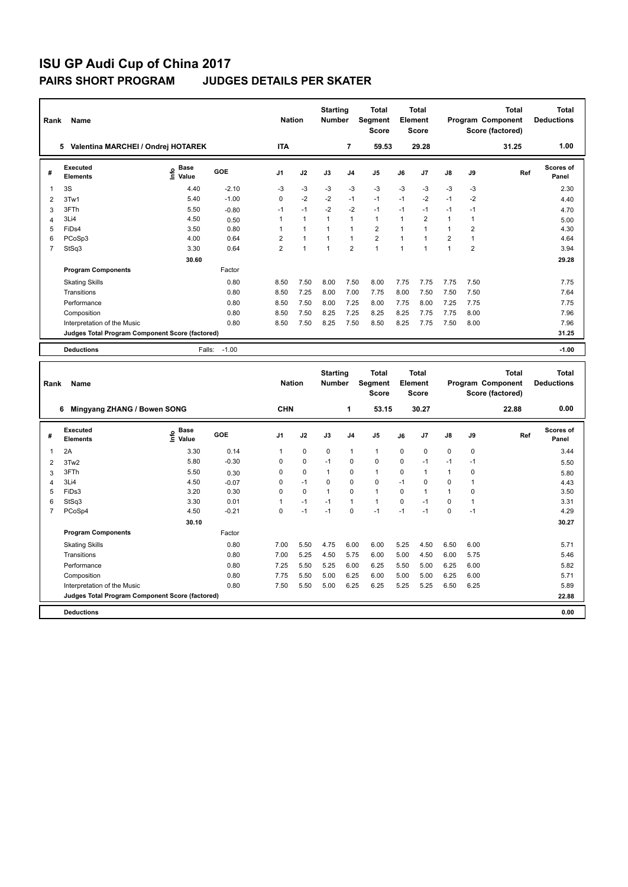| Rank           | Name                                            |                                  |         | <b>Nation</b>  |                | <b>Starting</b><br><b>Number</b> |                | <b>Total</b><br>Segment<br><b>Score</b> |                | <b>Total</b><br>Element<br><b>Score</b> |                |                | <b>Total</b><br>Program Component<br>Score (factored) | <b>Total</b><br><b>Deductions</b> |
|----------------|-------------------------------------------------|----------------------------------|---------|----------------|----------------|----------------------------------|----------------|-----------------------------------------|----------------|-----------------------------------------|----------------|----------------|-------------------------------------------------------|-----------------------------------|
|                | Valentina MARCHEI / Ondrej HOTAREK<br>5         |                                  |         | <b>ITA</b>     |                |                                  | 7              | 59.53                                   |                | 29.28                                   |                |                | 31.25                                                 | 1.00                              |
| #              | Executed<br><b>Elements</b>                     | <b>Base</b><br>e Base<br>⊆ Value | GOE     | J <sub>1</sub> | J2             | J3                               | J <sub>4</sub> | J <sub>5</sub>                          | J6             | J <sub>7</sub>                          | $\mathsf{J}8$  | J9             | Ref                                                   | <b>Scores of</b><br>Panel         |
| 1              | 3S                                              | 4.40                             | $-2.10$ | $-3$           | $-3$           | $-3$                             | $-3$           | $-3$                                    | $-3$           | $-3$                                    | $-3$           | $-3$           |                                                       | 2.30                              |
| $\overline{2}$ | 3Tw1                                            | 5.40                             | $-1.00$ | 0              | $-2$           | $-2$                             | $-1$           | $-1$                                    | $-1$           | $-2$                                    | $-1$           | $-2$           |                                                       | 4.40                              |
| 3              | 3FTh                                            | 5.50                             | $-0.80$ | $-1$           | $-1$           | $-2$                             | $-2$           | $-1$                                    | $-1$           | $-1$                                    | $-1$           | $-1$           |                                                       | 4.70                              |
| 4              | 3Li4                                            | 4.50                             | 0.50    |                | $\overline{1}$ | $\mathbf{1}$                     | $\overline{1}$ | $\mathbf{1}$                            | $\mathbf{1}$   | $\overline{2}$                          | $\mathbf{1}$   | 1              |                                                       | 5.00                              |
| 5              | FiDs4                                           | 3.50                             | 0.80    |                | 1              |                                  | $\overline{ }$ | $\overline{2}$                          | $\overline{1}$ | 1                                       | $\overline{1}$ | 2              |                                                       | 4.30                              |
| 6              | PCoSp3                                          | 4.00                             | 0.64    | $\overline{2}$ | $\overline{1}$ |                                  | $\overline{1}$ | $\overline{2}$                          | $\overline{1}$ |                                         | $\overline{2}$ | $\mathbf 1$    |                                                       | 4.64                              |
| $\overline{7}$ | StSq3                                           | 3.30                             | 0.64    | $\overline{2}$ | $\overline{1}$ | $\overline{1}$                   | $\overline{2}$ | $\overline{1}$                          | $\overline{1}$ | 1                                       | $\overline{1}$ | $\overline{2}$ |                                                       | 3.94                              |
|                |                                                 | 30.60                            |         |                |                |                                  |                |                                         |                |                                         |                |                |                                                       | 29.28                             |
|                | <b>Program Components</b>                       |                                  | Factor  |                |                |                                  |                |                                         |                |                                         |                |                |                                                       |                                   |
|                | <b>Skating Skills</b>                           |                                  | 0.80    | 8.50           | 7.50           | 8.00                             | 7.50           | 8.00                                    | 7.75           | 7.75                                    | 7.75           | 7.50           |                                                       | 7.75                              |
|                | Transitions                                     |                                  | 0.80    | 8.50           | 7.25           | 8.00                             | 7.00           | 7.75                                    | 8.00           | 7.50                                    | 7.50           | 7.50           |                                                       | 7.64                              |
|                | Performance                                     |                                  | 0.80    | 8.50           | 7.50           | 8.00                             | 7.25           | 8.00                                    | 7.75           | 8.00                                    | 7.25           | 7.75           |                                                       | 7.75                              |
|                | Composition                                     |                                  | 0.80    | 8.50           | 7.50           | 8.25                             | 7.25           | 8.25                                    | 8.25           | 7.75                                    | 7.75           | 8.00           |                                                       | 7.96                              |
|                | Interpretation of the Music                     |                                  | 0.80    | 8.50           | 7.50           | 8.25                             | 7.50           | 8.50                                    | 8.25           | 7.75                                    | 7.50           | 8.00           |                                                       | 7.96                              |
|                | Judges Total Program Component Score (factored) |                                  |         |                |                |                                  |                |                                         |                |                                         |                |                |                                                       | 31.25                             |
|                | <b>Deductions</b>                               | Falls:                           | $-1.00$ |                |                |                                  |                |                                         |                |                                         |                |                |                                                       | $-1.00$                           |

| Rank | <b>Name</b>                                     |                                  |         |                | <b>Nation</b> |              | <b>Starting</b><br><b>Number</b> | Total<br>Segment<br><b>Score</b> | <b>Total</b><br>Element<br><b>Score</b> |          | Program Component |             | Total<br>Score (factored) | <b>Total</b><br><b>Deductions</b> |
|------|-------------------------------------------------|----------------------------------|---------|----------------|---------------|--------------|----------------------------------|----------------------------------|-----------------------------------------|----------|-------------------|-------------|---------------------------|-----------------------------------|
|      | Mingyang ZHANG / Bowen SONG<br>6                |                                  |         | <b>CHN</b>     |               |              | 1                                | 53.15                            |                                         | 30.27    |                   |             | 22.88                     | 0.00                              |
| #    | Executed<br><b>Elements</b>                     | <b>Base</b><br>e Base<br>⊆ Value | GOE     | J <sub>1</sub> | J2            | J3           | J <sub>4</sub>                   | J <sub>5</sub>                   | J6                                      | J7       | $\mathsf{J}8$     | J9          | Ref                       | Scores of<br>Panel                |
| 1    | 2A                                              | 3.30                             | 0.14    | 1              | $\mathbf 0$   | $\mathbf 0$  | $\overline{1}$                   | $\mathbf{1}$                     | 0                                       | 0        | $\mathbf 0$       | $\mathbf 0$ |                           | 3.44                              |
| 2    | 3Tw2                                            | 5.80                             | $-0.30$ | 0              | $\mathbf 0$   | $-1$         | 0                                | $\mathbf 0$                      | $\mathbf 0$                             | $-1$     | $-1$              | $-1$        |                           | 5.50                              |
| 3    | 3FTh                                            | 5.50                             | 0.30    | 0              | $\mathbf 0$   | $\mathbf{1}$ | 0                                | $\mathbf{1}$                     | 0                                       | 1        | $\mathbf{1}$      | 0           |                           | 5.80                              |
| 4    | 3Li4                                            | 4.50                             | $-0.07$ | 0              | $-1$          | $\Omega$     | $\mathbf 0$                      | $\mathbf 0$                      | $-1$                                    | $\Omega$ | 0                 |             |                           | 4.43                              |
| 5    | FiDs3                                           | 3.20                             | 0.30    | $\Omega$       | $\mathbf 0$   | 1            | $\mathbf 0$                      | $\mathbf{1}$                     | $\Omega$                                |          | $\mathbf{1}$      | $\Omega$    |                           | 3.50                              |
| 6    | StSq3                                           | 3.30                             | 0.01    | $\mathbf{1}$   | $-1$          | $-1$         | 1                                | $\mathbf{1}$                     | $\Omega$                                | $-1$     | 0                 | 1           |                           | 3.31                              |
| 7    | PCoSp4                                          | 4.50                             | $-0.21$ | 0              | $-1$          | $-1$         | $\Omega$                         | $-1$                             | $-1$                                    | $-1$     | 0                 | $-1$        |                           | 4.29                              |
|      |                                                 | 30.10                            |         |                |               |              |                                  |                                  |                                         |          |                   |             |                           | 30.27                             |
|      | <b>Program Components</b>                       |                                  | Factor  |                |               |              |                                  |                                  |                                         |          |                   |             |                           |                                   |
|      | <b>Skating Skills</b>                           |                                  | 0.80    | 7.00           | 5.50          | 4.75         | 6.00                             | 6.00                             | 5.25                                    | 4.50     | 6.50              | 6.00        |                           | 5.71                              |
|      | Transitions                                     |                                  | 0.80    | 7.00           | 5.25          | 4.50         | 5.75                             | 6.00                             | 5.00                                    | 4.50     | 6.00              | 5.75        |                           | 5.46                              |
|      | Performance                                     |                                  | 0.80    | 7.25           | 5.50          | 5.25         | 6.00                             | 6.25                             | 5.50                                    | 5.00     | 6.25              | 6.00        |                           | 5.82                              |
|      | Composition                                     |                                  | 0.80    | 7.75           | 5.50          | 5.00         | 6.25                             | 6.00                             | 5.00                                    | 5.00     | 6.25              | 6.00        |                           | 5.71                              |
|      | Interpretation of the Music                     |                                  | 0.80    | 7.50           | 5.50          | 5.00         | 6.25                             | 6.25                             | 5.25                                    | 5.25     | 6.50              | 6.25        |                           | 5.89                              |
|      | Judges Total Program Component Score (factored) |                                  |         |                |               |              |                                  |                                  |                                         |          |                   |             |                           | 22.88                             |
|      | <b>Deductions</b>                               |                                  |         |                |               |              |                                  |                                  |                                         |          |                   |             |                           | 0.00                              |